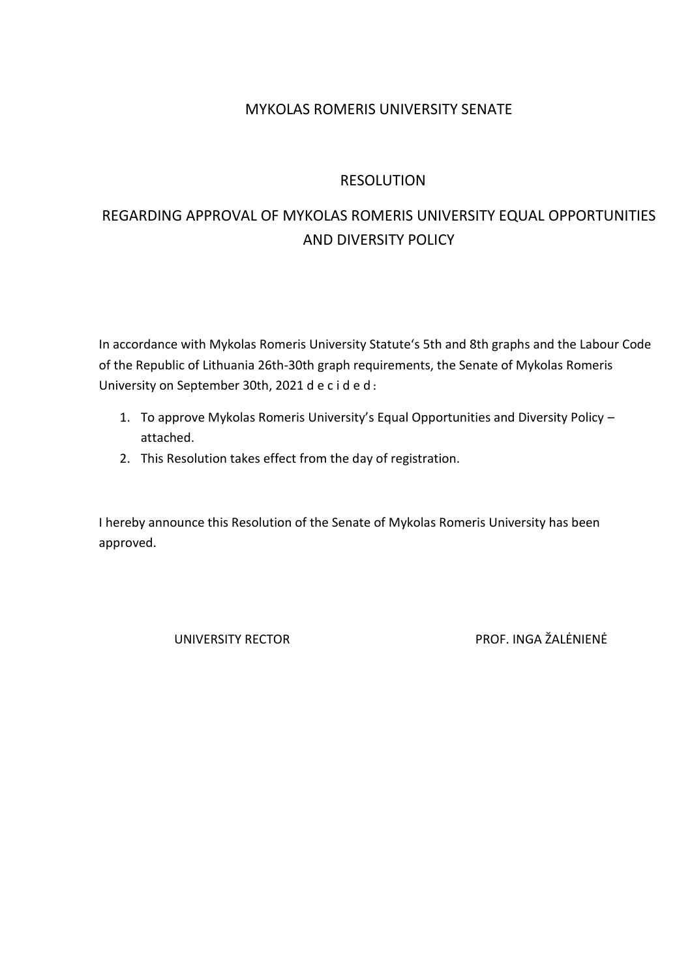# MYKOLAS ROMERIS UNIVERSITY SENATE

# RESOLUTION

# REGARDING APPROVAL OF MYKOLAS ROMERIS UNIVERSITY EQUAL OPPORTUNITIES AND DIVERSITY POLICY

In accordance with Mykolas Romeris University Statute's 5th and 8th graphs and the Labour Code of the Republic of Lithuania 26th-30th graph requirements, the Senate of Mykolas Romeris University on September 30th, 2021 d e c i d e d:

- 1. To approve Mykolas Romeris University's Equal Opportunities and Diversity Policy attached.
- 2. This Resolution takes effect from the day of registration.

I hereby announce this Resolution of the Senate of Mykolas Romeris University has been approved.

UNIVERSITY RECTOR PROF. INGA ŽALĖNIENĖ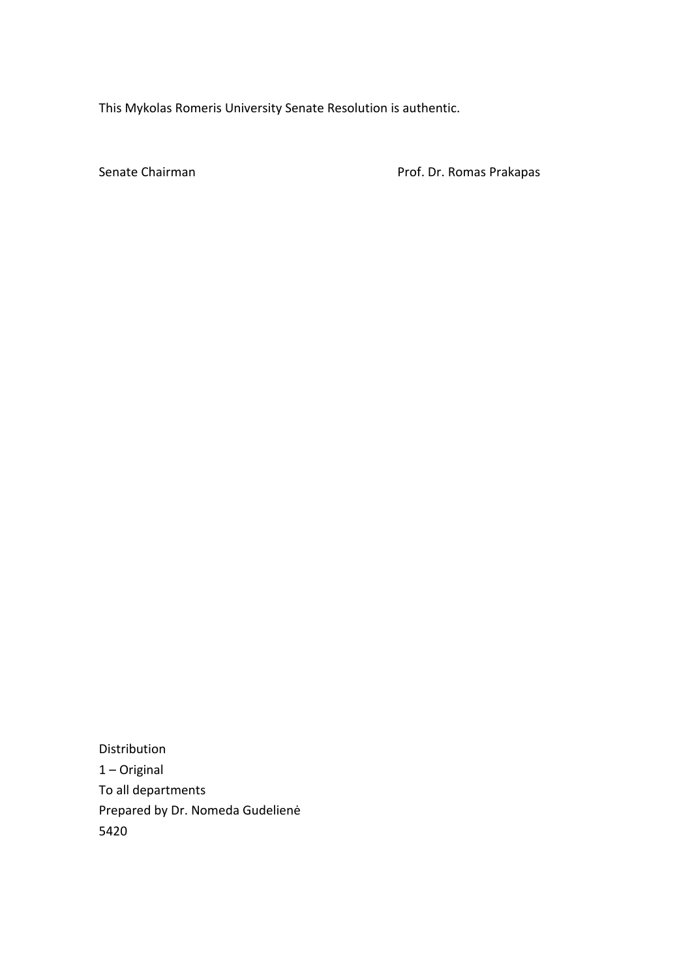This Mykolas Romeris University Senate Resolution is authentic.

Senate Chairman **Prof. Dr. Romas Prakapas** 

Distribution 1 – Original To all departments Prepared by Dr. Nomeda Gudelienė 5420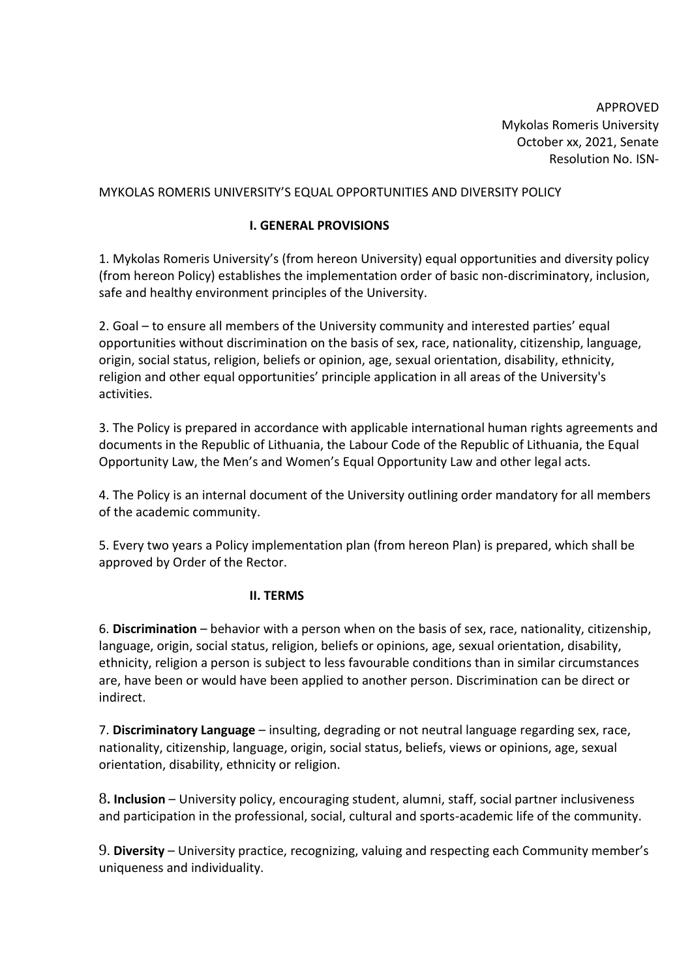APPROVED Mykolas Romeris University October xx, 2021, Senate Resolution No. ISN-

#### MYKOLAS ROMERIS UNIVERSITY'S EQUAL OPPORTUNITIES AND DIVERSITY POLICY

#### **I. GENERAL PROVISIONS**

1. Mykolas Romeris University's (from hereon University) equal opportunities and diversity policy (from hereon Policy) establishes the implementation order of basic non-discriminatory, inclusion, safe and healthy environment principles of the University.

2. Goal – to ensure all members of the University community and interested parties' equal opportunities without discrimination on the basis of sex, race, nationality, citizenship, language, origin, social status, religion, beliefs or opinion, age, sexual orientation, disability, ethnicity, religion and other equal opportunities' principle application in all areas of the University's activities.

3. The Policy is prepared in accordance with applicable international human rights agreements and documents in the Republic of Lithuania, the Labour Code of the Republic of Lithuania, the Equal Opportunity Law, the Men's and Women's Equal Opportunity Law and other legal acts.

4. The Policy is an internal document of the University outlining order mandatory for all members of the academic community.

5. Every two years a Policy implementation plan (from hereon Plan) is prepared, which shall be approved by Order of the Rector.

#### **II. TERMS**

6. **Discrimination** – behavior with a person when on the basis of sex, race, nationality, citizenship, language, origin, social status, religion, beliefs or opinions, age, sexual orientation, disability, ethnicity, religion a person is subject to less favourable conditions than in similar circumstances are, have been or would have been applied to another person. Discrimination can be direct or indirect.

7. **Discriminatory Language** – insulting, degrading or not neutral language regarding sex, race, nationality, citizenship, language, origin, social status, beliefs, views or opinions, age, sexual orientation, disability, ethnicity or religion.

8**. Inclusion** – University policy, encouraging student, alumni, staff, social partner inclusiveness and participation in the professional, social, cultural and sports-academic life of the community.

9. **Diversity** – University practice, recognizing, valuing and respecting each Community member's uniqueness and individuality.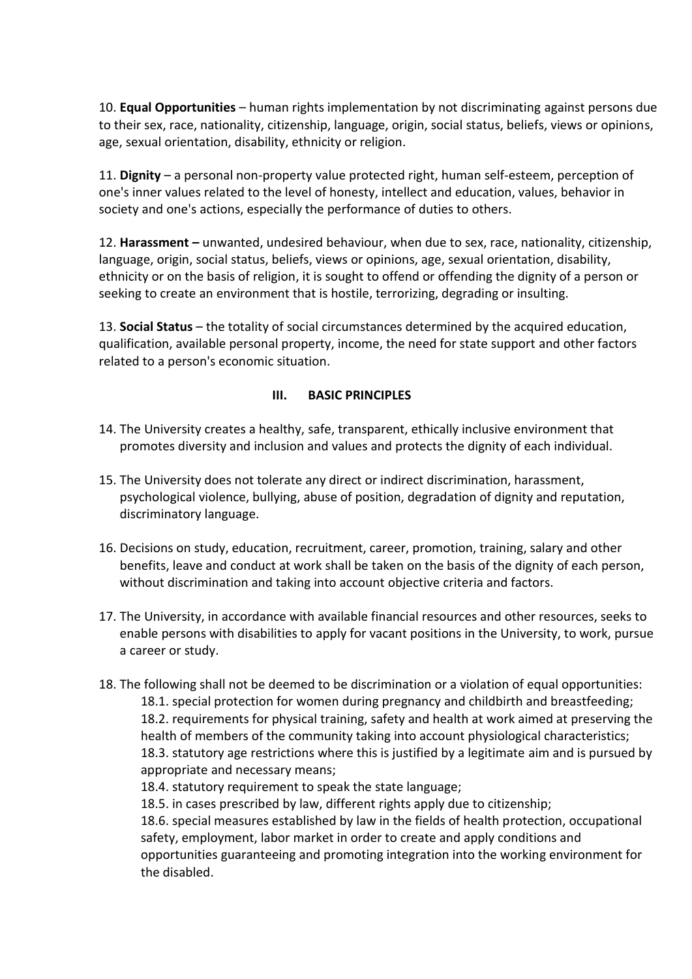10. **Equal Opportunities** – human rights implementation by not discriminating against persons due to their sex, race, nationality, citizenship, language, origin, social status, beliefs, views or opinions, age, sexual orientation, disability, ethnicity or religion.

11. **Dignity** – a personal non-property value protected right, human self-esteem, perception of one's inner values related to the level of honesty, intellect and education, values, behavior in society and one's actions, especially the performance of duties to others.

12. **Harassment –** unwanted, undesired behaviour, when due to sex, race, nationality, citizenship, language, origin, social status, beliefs, views or opinions, age, sexual orientation, disability, ethnicity or on the basis of religion, it is sought to offend or offending the dignity of a person or seeking to create an environment that is hostile, terrorizing, degrading or insulting.

13. **Social Status** – the totality of social circumstances determined by the acquired education, qualification, available personal property, income, the need for state support and other factors related to a person's economic situation.

## **III. BASIC PRINCIPLES**

- 14. The University creates a healthy, safe, transparent, ethically inclusive environment that promotes diversity and inclusion and values and protects the dignity of each individual.
- 15. The University does not tolerate any direct or indirect discrimination, harassment, psychological violence, bullying, abuse of position, degradation of dignity and reputation, discriminatory language.
- 16. Decisions on study, education, recruitment, career, promotion, training, salary and other benefits, leave and conduct at work shall be taken on the basis of the dignity of each person, without discrimination and taking into account objective criteria and factors.
- 17. The University, in accordance with available financial resources and other resources, seeks to enable persons with disabilities to apply for vacant positions in the University, to work, pursue a career or study.
- 18. The following shall not be deemed to be discrimination or a violation of equal opportunities: 18.1. special protection for women during pregnancy and childbirth and breastfeeding; 18.2. requirements for physical training, safety and health at work aimed at preserving the health of members of the community taking into account physiological characteristics; 18.3. statutory age restrictions where this is justified by a legitimate aim and is pursued by appropriate and necessary means;
	- 18.4. statutory requirement to speak the state language;

18.5. in cases prescribed by law, different rights apply due to citizenship;

18.6. special measures established by law in the fields of health protection, occupational safety, employment, labor market in order to create and apply conditions and opportunities guaranteeing and promoting integration into the working environment for the disabled.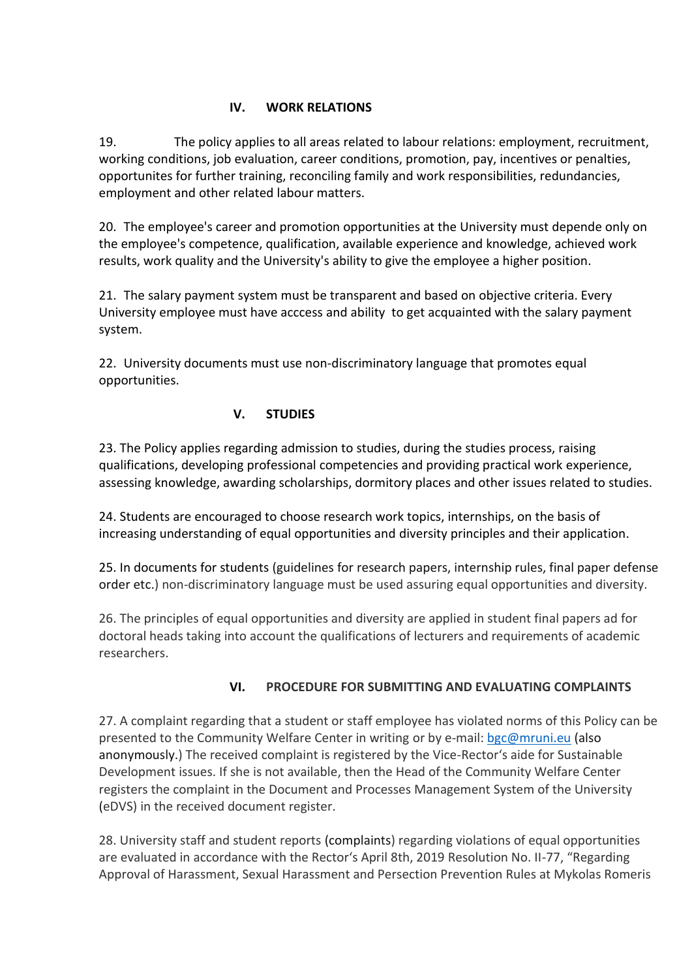#### **IV. WORK RELATIONS**

19. The policy applies to all areas related to labour relations: employment, recruitment, working conditions, job evaluation, career conditions, promotion, pay, incentives or penalties, opportunites for further training, reconciling family and work responsibilities, redundancies, employment and other related labour matters.

20. The employee's career and promotion opportunities at the University must depende only on the employee's competence, qualification, available experience and knowledge, achieved work results, work quality and the University's ability to give the employee a higher position.

21. The salary payment system must be transparent and based on objective criteria. Every University employee must have acccess and ability to get acquainted with the salary payment system.

22. University documents must use non-discriminatory language that promotes equal opportunities.

## **V. STUDIES**

23. The Policy applies regarding admission to studies, during the studies process, raising qualifications, developing professional competencies and providing practical work experience, assessing knowledge, awarding scholarships, dormitory places and other issues related to studies.

24. Students are encouraged to choose research work topics, internships, on the basis of increasing understanding of equal opportunities and diversity principles and their application.

25. In documents for students (guidelines for research papers, internship rules, final paper defense order etc.) non-discriminatory language must be used assuring equal opportunities and diversity.

26. The principles of equal opportunities and diversity are applied in student final papers ad for doctoral heads taking into account the qualifications of lecturers and requirements of academic researchers.

## **VI. PROCEDURE FOR SUBMITTING AND EVALUATING COMPLAINTS**

27. A complaint regarding that a student or staff employee has violated norms of this Policy can be presented to the Community Welfare Center in writing or by e-mail: [bgc@mruni.eu](mailto:bgc@mruni.eu) (also anonymously.) The received complaint is registered by the Vice-Rector's aide for Sustainable Development issues. If she is not available, then the Head of the Community Welfare Center registers the complaint in the Document and Processes Management System of the University (eDVS) in the received document register.

28. University staff and student reports (complaints) regarding violations of equal opportunities are evaluated in accordance with the Rector's April 8th, 2019 Resolution No. II-77, "Regarding Approval of Harassment, Sexual Harassment and Persection Prevention Rules at Mykolas Romeris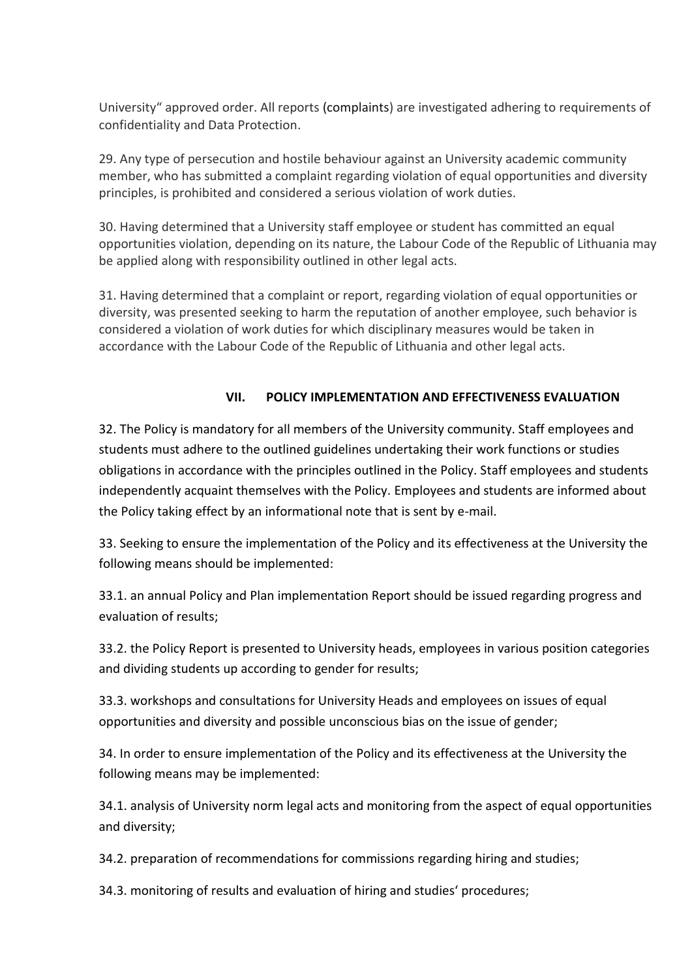University" approved order. All reports (complaints) are investigated adhering to requirements of confidentiality and Data Protection.

29. Any type of persecution and hostile behaviour against an University academic community member, who has submitted a complaint regarding violation of equal opportunities and diversity principles, is prohibited and considered a serious violation of work duties.

30. Having determined that a University staff employee or student has committed an equal opportunities violation, depending on its nature, the Labour Code of the Republic of Lithuania may be applied along with responsibility outlined in other legal acts.

31. Having determined that a complaint or report, regarding violation of equal opportunities or diversity, was presented seeking to harm the reputation of another employee, such behavior is considered a violation of work duties for which disciplinary measures would be taken in accordance with the Labour Code of the Republic of Lithuania and other legal acts.

## **VII. POLICY IMPLEMENTATION AND EFFECTIVENESS EVALUATION**

32. The Policy is mandatory for all members of the University community. Staff employees and students must adhere to the outlined guidelines undertaking their work functions or studies obligations in accordance with the principles outlined in the Policy. Staff employees and students independently acquaint themselves with the Policy. Employees and students are informed about the Policy taking effect by an informational note that is sent by e-mail.

33. Seeking to ensure the implementation of the Policy and its effectiveness at the University the following means should be implemented:

33.1. an annual Policy and Plan implementation Report should be issued regarding progress and evaluation of results;

33.2. the Policy Report is presented to University heads, employees in various position categories and dividing students up according to gender for results;

33.3. workshops and consultations for University Heads and employees on issues of equal opportunities and diversity and possible unconscious bias on the issue of gender;

34. In order to ensure implementation of the Policy and its effectiveness at the University the following means may be implemented:

34.1. analysis of University norm legal acts and monitoring from the aspect of equal opportunities and diversity;

34.2. preparation of recommendations for commissions regarding hiring and studies;

34.3. monitoring of results and evaluation of hiring and studies' procedures;